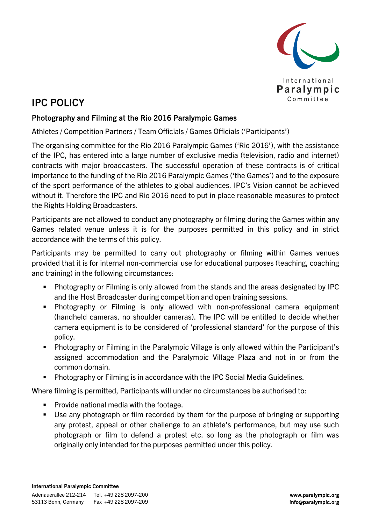

## IPC POLICY

## Photography and Filming at the Rio 2016 Paralympic Games

Athletes / Competition Partners / Team Officials / Games Officials ('Participants')

The organising committee for the Rio 2016 Paralympic Games ('Rio 2016'), with the assistance of the IPC, has entered into a large number of exclusive media (television, radio and internet) contracts with major broadcasters. The successful operation of these contracts is of critical importance to the funding of the Rio 2016 Paralympic Games ('the Games') and to the exposure of the sport performance of the athletes to global audiences. IPC's Vision cannot be achieved without it. Therefore the IPC and Rio 2016 need to put in place reasonable measures to protect the Rights Holding Broadcasters.

Participants are not allowed to conduct any photography or filming during the Games within any Games related venue unless it is for the purposes permitted in this policy and in strict accordance with the terms of this policy.

Participants may be permitted to carry out photography or filming within Games venues provided that it is for internal non-commercial use for educational purposes (teaching, coaching and training) in the following circumstances:

- Photography or Filming is only allowed from the stands and the areas designated by IPC and the Host Broadcaster during competition and open training sessions.
- Photography or Filming is only allowed with non-professional camera equipment (handheld cameras, no shoulder cameras). The IPC will be entitled to decide whether camera equipment is to be considered of 'professional standard' for the purpose of this policy.
- Photography or Filming in the Paralympic Village is only allowed within the Participant's assigned accommodation and the Paralympic Village Plaza and not in or from the common domain.
- Photography or Filming is in accordance with the IPC Social Media Guidelines.

Where filming is permitted, Participants will under no circumstances be authorised to:

- **Provide national media with the footage.**
- Use any photograph or film recorded by them for the purpose of bringing or supporting any protest, appeal or other challenge to an athlete's performance, but may use such photograph or film to defend a protest etc. so long as the photograph or film was originally only intended for the purposes permitted under this policy.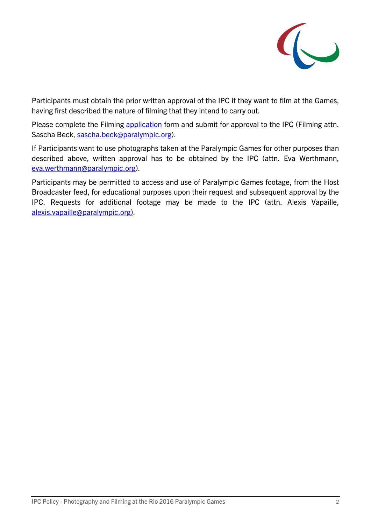

Participants must obtain the prior written approval of the IPC if they want to film at the Games, having first described the nature of filming that they intend to carry out.

Please complete the Filming [application](#page-2-0) form and submit for approval to the IPC (Filming attn. Sascha Beck, [sascha.beck@paralympic.org\)](mailto:sascha.beck@paralympic.org?subject=Rio%202016%20Paralympic%20Games%20Photography%20and%20Filming%20request).

If Participants want to use photographs taken at the Paralympic Games for other purposes than described above, written approval has to be obtained by the IPC (attn. Eva Werthmann, [eva.werthmann@paralympic.org\)](mailto:eva.werthmann@paralympic.org?subject=Rio%202016%20Paralympic%20Games%20Photography%20and%20Filming%20request).

Participants may be permitted to access and use of Paralympic Games footage, from the Host Broadcaster feed, for educational purposes upon their request and subsequent approval by the IPC. Requests for additional footage may be made to the IPC (attn. Alexis Vapaille, [alexis.vapaille@paralympic.org\)](mailto:alexis.vapaille@paralympic.org).